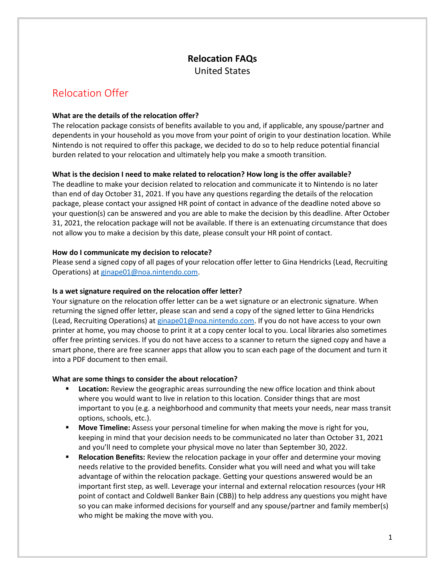# **Relocation FAQs** United States

# Relocation Offer

## **What are the details of the relocation offer?**

The relocation package consists of benefits available to you and, if applicable, any spouse/partner and dependents in your household as you move from your point of origin to your destination location. While Nintendo is not required to offer this package, we decided to do so to help reduce potential financial burden related to your relocation and ultimately help you make a smooth transition.

## **What is the decision I need to make related to relocation? How long is the offer available?**

The deadline to make your decision related to relocation and communicate it to Nintendo is no later than end of day October 31, 2021. If you have any questions regarding the details of the relocation package, please contact your assigned HR point of contact in advance of the deadline noted above so your question(s) can be answered and you are able to make the decision by this deadline. After October 31, 2021, the relocation package will not be available. If there is an extenuating circumstance that does not allow you to make a decision by this date, please consult your HR point of contact.

## **How do I communicate my decision to relocate?**

Please send a signed copy of all pages of your relocation offer letter to Gina Hendricks (Lead, Recruiting Operations) at [ginape01@noa.nintendo.com.](mailto:ginape01@noa.nintendo.com)

## **Is a wet signature required on the relocation offer letter?**

Your signature on the relocation offer letter can be a wet signature or an electronic signature. When returning the signed offer letter, please scan and send a copy of the signed letter to Gina Hendricks (Lead, Recruiting Operations) a[t ginape01@noa.nintendo.com.](mailto:ginape01@noa.nintendo.com) If you do not have access to your own printer at home, you may choose to print it at a copy center local to you. Local libraries also sometimes offer free printing services. If you do not have access to a scanner to return the signed copy and have a smart phone, there are free scanner apps that allow you to scan each page of the document and turn it into a PDF document to then email.

## **What are some things to consider the about relocation?**

- **EXED Location:** Review the geographic areas surrounding the new office location and think about where you would want to live in relation to this location. Consider things that are most important to you (e.g. a neighborhood and community that meets your needs, near mass transit options, schools, etc.).
- **Move Timeline:** Assess your personal timeline for when making the move is right for you, keeping in mind that your decision needs to be communicated no later than October 31, 2021 and you'll need to complete your physical move no later than September 30, 2022.
- **Relocation Benefits:** Review the relocation package in your offer and determine your moving needs relative to the provided benefits. Consider what you will need and what you will take advantage of within the relocation package. Getting your questions answered would be an important first step, as well. Leverage your internal and external relocation resources (your HR point of contact and Coldwell Banker Bain (CBB)) to help address any questions you might have so you can make informed decisions for yourself and any spouse/partner and family member(s) who might be making the move with you.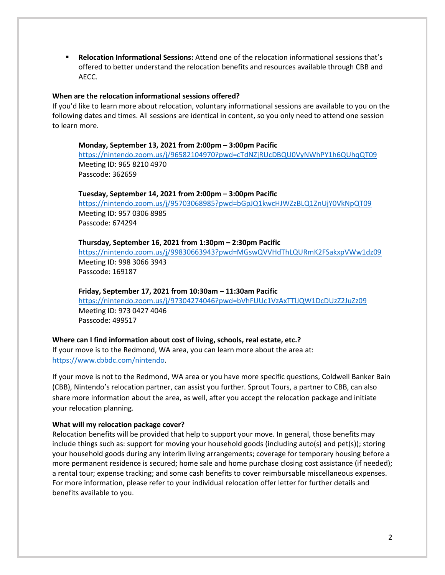▪ **Relocation Informational Sessions:** Attend one of the relocation informational sessions that's offered to better understand the relocation benefits and resources available through CBB and AECC.

## **When are the relocation informational sessions offered?**

If you'd like to learn more about relocation, voluntary informational sessions are available to you on the following dates and times. All sessions are identical in content, so you only need to attend one session to learn more.

## **Monday, September 13, 2021 from 2:00pm – 3:00pm Pacific**

<https://nintendo.zoom.us/j/96582104970?pwd=cTdNZjRUcDBQU0VyNWhPY1h6QUhqQT09> Meeting ID: 965 8210 4970 Passcode: 362659

### **Tuesday, September 14, 2021 from 2:00pm – 3:00pm Pacific**

<https://nintendo.zoom.us/j/95703068985?pwd=bGpJQ1kwcHJWZzBLQ1ZnUjY0VkNpQT09> Meeting ID: 957 0306 8985 Passcode: 674294

### **Thursday, September 16, 2021 from 1:30pm – 2:30pm Pacific**

<https://nintendo.zoom.us/j/99830663943?pwd=MGswQVVHdThLQURmK2FSakxpVWw1dz09> Meeting ID: 998 3066 3943 Passcode: 169187

### **Friday, September 17, 2021 from 10:30am – 11:30am Pacific**

<https://nintendo.zoom.us/j/97304274046?pwd=bVhFUUc1VzAxTTlJQW1DcDUzZ2JuZz09> Meeting ID: 973 0427 4046 Passcode: 499517

### **Where can I find information about cost of living, schools, real estate, etc.?**

If your move is to the Redmond, WA area, you can learn more about the area at: [https://www.cbbdc.com/nintendo.](https://www.cbbdc.com/nintendo)

If your move is not to the Redmond, WA area or you have more specific questions, Coldwell Banker Bain (CBB), Nintendo's relocation partner, can assist you further. Sprout Tours, a partner to CBB, can also share more information about the area, as well, after you accept the relocation package and initiate your relocation planning.

### **What will my relocation package cover?**

Relocation benefits will be provided that help to support your move. In general, those benefits may include things such as: support for moving your household goods (including auto(s) and pet(s)); storing your household goods during any interim living arrangements; coverage for temporary housing before a more permanent residence is secured; home sale and home purchase closing cost assistance (if needed); a rental tour; expense tracking; and some cash benefits to cover reimbursable miscellaneous expenses. For more information, please refer to your individual relocation offer letter for further details and benefits available to you.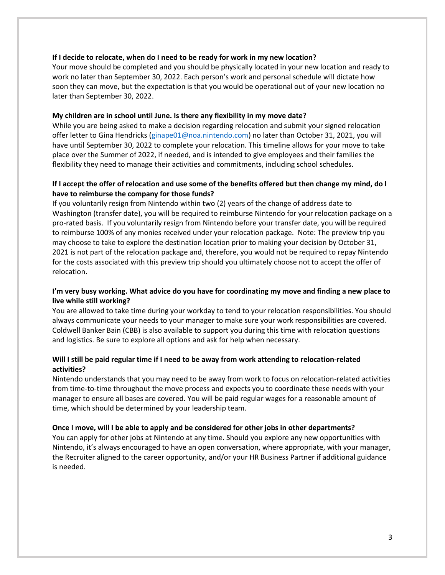### **If I decide to relocate, when do I need to be ready for work in my new location?**

Your move should be completed and you should be physically located in your new location and ready to work no later than September 30, 2022. Each person's work and personal schedule will dictate how soon they can move, but the expectation is that you would be operational out of your new location no later than September 30, 2022.

## **My children are in school until June. Is there any flexibility in my move date?**

While you are being asked to make a decision regarding relocation and submit your signed relocation offer letter to Gina Hendricks [\(ginape01@noa.nintendo.com\)](mailto:ginape01@noa.nintendo.com) no later than October 31, 2021, you will have until September 30, 2022 to complete your relocation. This timeline allows for your move to take place over the Summer of 2022, if needed, and is intended to give employees and their families the flexibility they need to manage their activities and commitments, including school schedules.

## **If I accept the offer of relocation and use some of the benefits offered but then change my mind, do I have to reimburse the company for those funds?**

If you voluntarily resign from Nintendo within two (2) years of the change of address date to Washington (transfer date), you will be required to reimburse Nintendo for your relocation package on a pro-rated basis. If you voluntarily resign from Nintendo before your transfer date, you will be required to reimburse 100% of any monies received under your relocation package. Note: The preview trip you may choose to take to explore the destination location prior to making your decision by October 31, 2021 is not part of the relocation package and, therefore, you would not be required to repay Nintendo for the costs associated with this preview trip should you ultimately choose not to accept the offer of relocation.

## **I'm very busy working. What advice do you have for coordinating my move and finding a new place to live while still working?**

You are allowed to take time during your workday to tend to your relocation responsibilities. You should always communicate your needs to your manager to make sure your work responsibilities are covered. Coldwell Banker Bain (CBB) is also available to support you during this time with relocation questions and logistics. Be sure to explore all options and ask for help when necessary.

## **Will I still be paid regular time if I need to be away from work attending to relocation-related activities?**

Nintendo understands that you may need to be away from work to focus on relocation-related activities from time-to-time throughout the move process and expects you to coordinate these needs with your manager to ensure all bases are covered. You will be paid regular wages for a reasonable amount of time, which should be determined by your leadership team.

## **Once I move, will I be able to apply and be considered for other jobs in other departments?**

You can apply for other jobs at Nintendo at any time. Should you explore any new opportunities with Nintendo, it's always encouraged to have an open conversation, where appropriate, with your manager, the Recruiter aligned to the career opportunity, and/or your HR Business Partner if additional guidance is needed.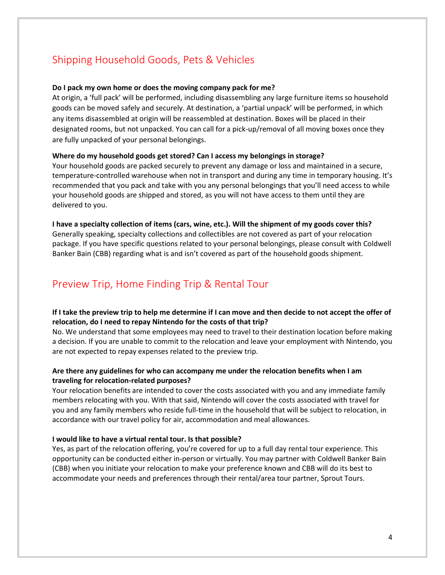# Shipping Household Goods, Pets & Vehicles

#### **Do I pack my own home or does the moving company pack for me?**

At origin, a 'full pack' will be performed, including disassembling any large furniture items so household goods can be moved safely and securely. At destination, a 'partial unpack' will be performed, in which any items disassembled at origin will be reassembled at destination. Boxes will be placed in their designated rooms, but not unpacked. You can call for a pick-up/removal of all moving boxes once they are fully unpacked of your personal belongings.

### **Where do my household goods get stored? Can I access my belongings in storage?**

Your household goods are packed securely to prevent any damage or loss and maintained in a secure, temperature-controlled warehouse when not in transport and during any time in temporary housing. It's recommended that you pack and take with you any personal belongings that you'll need access to while your household goods are shipped and stored, as you will not have access to them until they are delivered to you.

## **I have a specialty collection of items (cars, wine, etc.). Will the shipment of my goods cover this?** Generally speaking, specialty collections and collectibles are not covered as part of your relocation package. If you have specific questions related to your personal belongings, please consult with Coldwell Banker Bain (CBB) regarding what is and isn't covered as part of the household goods shipment.

## Preview Trip, Home Finding Trip & Rental Tour

## **If I take the preview trip to help me determine if I can move and then decide to not accept the offer of relocation, do I need to repay Nintendo for the costs of that trip?**

No. We understand that some employees may need to travel to their destination location before making a decision. If you are unable to commit to the relocation and leave your employment with Nintendo, you are not expected to repay expenses related to the preview trip.

## **Are there any guidelines for who can accompany me under the relocation benefits when I am traveling for relocation-related purposes?**

Your relocation benefits are intended to cover the costs associated with you and any immediate family members relocating with you. With that said, Nintendo will cover the costs associated with travel for you and any family members who reside full-time in the household that will be subject to relocation, in accordance with our travel policy for air, accommodation and meal allowances.

#### **I would like to have a virtual rental tour. Is that possible?**

Yes, as part of the relocation offering, you're covered for up to a full day rental tour experience. This opportunity can be conducted either in-person or virtually. You may partner with Coldwell Banker Bain (CBB) when you initiate your relocation to make your preference known and CBB will do its best to accommodate your needs and preferences through their rental/area tour partner, Sprout Tours.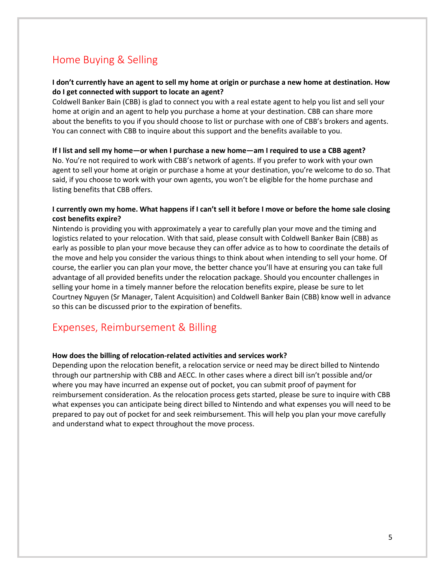# Home Buying & Selling

## **I don't currently have an agent to sell my home at origin or purchase a new home at destination. How do I get connected with support to locate an agent?**

Coldwell Banker Bain (CBB) is glad to connect you with a real estate agent to help you list and sell your home at origin and an agent to help you purchase a home at your destination. CBB can share more about the benefits to you if you should choose to list or purchase with one of CBB's brokers and agents. You can connect with CBB to inquire about this support and the benefits available to you.

### **If I list and sell my home—or when I purchase a new home—am I required to use a CBB agent?**

No. You're not required to work with CBB's network of agents. If you prefer to work with your own agent to sell your home at origin or purchase a home at your destination, you're welcome to do so. That said, if you choose to work with your own agents, you won't be eligible for the home purchase and listing benefits that CBB offers.

## **I currently own my home. What happens if I can't sell it before I move or before the home sale closing cost benefits expire?**

Nintendo is providing you with approximately a year to carefully plan your move and the timing and logistics related to your relocation. With that said, please consult with Coldwell Banker Bain (CBB) as early as possible to plan your move because they can offer advice as to how to coordinate the details of the move and help you consider the various things to think about when intending to sell your home. Of course, the earlier you can plan your move, the better chance you'll have at ensuring you can take full advantage of all provided benefits under the relocation package. Should you encounter challenges in selling your home in a timely manner before the relocation benefits expire, please be sure to let Courtney Nguyen (Sr Manager, Talent Acquisition) and Coldwell Banker Bain (CBB) know well in advance so this can be discussed prior to the expiration of benefits.

## Expenses, Reimbursement & Billing

### **How does the billing of relocation-related activities and services work?**

Depending upon the relocation benefit, a relocation service or need may be direct billed to Nintendo through our partnership with CBB and AECC. In other cases where a direct bill isn't possible and/or where you may have incurred an expense out of pocket, you can submit proof of payment for reimbursement consideration. As the relocation process gets started, please be sure to inquire with CBB what expenses you can anticipate being direct billed to Nintendo and what expenses you will need to be prepared to pay out of pocket for and seek reimbursement. This will help you plan your move carefully and understand what to expect throughout the move process.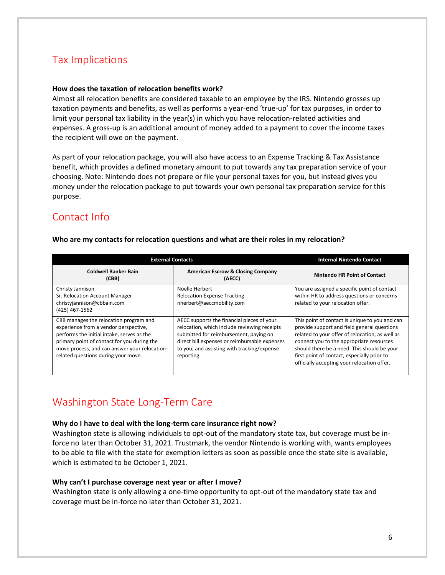# Tax Implications

## **How does the taxation of relocation benefits work?**

Almost all relocation benefits are considered taxable to an employee by the IRS. Nintendo grosses up taxation payments and benefits, as well as performs a year-end 'true-up' for tax purposes, in order to limit your personal tax liability in the year(s) in which you have relocation-related activities and expenses. A gross-up is an additional amount of money added to a payment to cover the income taxes the recipient will owe on the payment.

As part of your relocation package, you will also have access to an Expense Tracking & Tax Assistance benefit, which provides a defined monetary amount to put towards any tax preparation service of your choosing. Note: Nintendo does not prepare or file your personal taxes for you, but instead gives you money under the relocation package to put towards your own personal tax preparation service for this purpose.

# Contact Info

| <b>External Contacts</b>                                                                                                                                                                                                                                             |                                                                                                                                                                                                                                                    | <b>Internal Nintendo Contact</b>                                                                                                                                                                                                                                                                                                          |
|----------------------------------------------------------------------------------------------------------------------------------------------------------------------------------------------------------------------------------------------------------------------|----------------------------------------------------------------------------------------------------------------------------------------------------------------------------------------------------------------------------------------------------|-------------------------------------------------------------------------------------------------------------------------------------------------------------------------------------------------------------------------------------------------------------------------------------------------------------------------------------------|
| <b>Coldwell Banker Bain</b><br>(CBB)                                                                                                                                                                                                                                 | <b>American Escrow &amp; Closing Company</b><br>(AECC)                                                                                                                                                                                             | <b>Nintendo HR Point of Contact</b>                                                                                                                                                                                                                                                                                                       |
| Christy Jannison<br>Sr. Relocation Account Manager<br>christyjannison@cbbain.com<br>(425) 467-1562                                                                                                                                                                   | Noelle Herbert<br><b>Relocation Expense Tracking</b><br>nherbert@aeccmobility.com                                                                                                                                                                  | You are assigned a specific point of contact<br>within HR to address questions or concerns<br>related to your relocation offer.                                                                                                                                                                                                           |
| CBB manages the relocation program and<br>experience from a vendor perspective,<br>performs the initial intake, serves as the<br>primary point of contact for you during the<br>move process, and can answer your relocation-<br>related questions during your move. | AECC supports the financial pieces of your<br>relocation, which include reviewing receipts<br>submitted for reimbursement, paying on<br>direct bill expenses or reimbursable expenses<br>to you, and assisting with tracking/expense<br>reporting. | This point of contact is unique to you and can<br>provide support and field general questions<br>related to your offer of relocation, as well as<br>connect you to the appropriate resources<br>should there be a need. This should be your<br>first point of contact, especially prior to<br>officially accepting your relocation offer. |

## **Who are my contacts for relocation questions and what are their roles in my relocation?**

# Washington State Long-Term Care

### **Why do I have to deal with the long-term care insurance right now?**

Washington state is allowing individuals to opt-out of the mandatory state tax, but coverage must be inforce no later than October 31, 2021. Trustmark, the vendor Nintendo is working with, wants employees to be able to file with the state for exemption letters as soon as possible once the state site is available, which is estimated to be October 1, 2021.

### **Why can't I purchase coverage next year or after I move?**

Washington state is only allowing a one-time opportunity to opt-out of the mandatory state tax and coverage must be in-force no later than October 31, 2021.